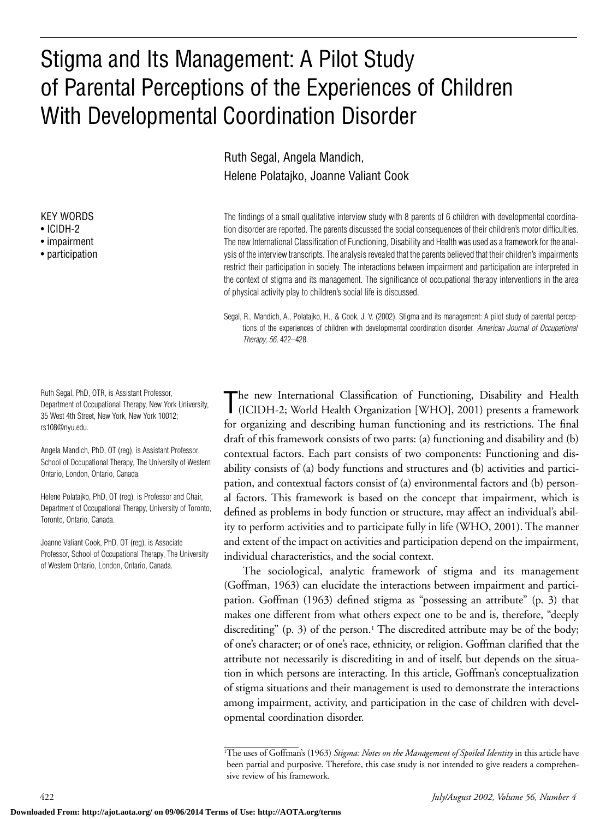# Stigma and Its Management: A Pilot Study of Parental Perceptions of the Experiences of Children With Developmental Coordination Disorder

Ruth Segal, Angela Mandich, Helene Polatajko, Joanne Valiant Cook

The findings of a small qualitative interview study with 8 parents of 6 children with developmental coordination disorder are reported. The parents discussed the social consequences of their children's motor difficulties. The new International Classification of Functioning, Disability and Health was used as a framework for the analysis of the interview transcripts. The analysis revealed that the parents believed that their children's impairments restrict their participation in society. The interactions between impairment and participation are interpreted in the context of stigma and its management. The significance of occupational therapy interventions in the area of physical activity play to children's social life is discussed.

Segal, R., Mandich, A., Polatajko, H., & Cook, J. V. (2002). Stigma and its management: A pilot study of parental perceptions of the experiences of children with developmental coordination disorder. *American Journal of Occupational Therapy, 56,* 422–428.

The new International Classification of Functioning, Disability and Health (ICIDH-2; World Health Organization [WHO], 2001) presents a framework (ICIDH-2; World Health Organization [WHO], 2001) presents a framework for organizing and describing human functioning and its restrictions. The final draft of this framework consists of two parts: (a) functioning and disability and (b) contextual factors. Each part consists of two components: Functioning and disability consists of (a) body functions and structures and (b) activities and participation, and contextual factors consist of (a) environmental factors and (b) personal factors. This framework is based on the concept that impairment, which is defined as problems in body function or structure, may affect an individual's ability to perform activities and to participate fully in life (WHO, 2001). The manner and extent of the impact on activities and participation depend on the impairment, individual characteristics, and the social context.

The sociological, analytic framework of stigma and its management (Goffman, 1963) can elucidate the interactions between impairment and participation. Goffman (1963) defined stigma as "possessing an attribute" (p. 3) that makes one different from what others expect one to be and is, therefore, "deeply discrediting" (p. 3) of the person.<sup>1</sup> The discredited attribute may be of the body; of one's character; or of one's race, ethnicity, or religion. Goffman clarified that the attribute not necessarily is discrediting in and of itself, but depends on the situation in which persons are interacting. In this article, Goffman's conceptualization of stigma situations and their management is used to demonstrate the interactions among impairment, activity, and participation in the case of children with developmental coordination disorder.

KEY WORDS

- ICIDH-2
- impairment • participation

Ruth Segal, PhD, OTR, is Assistant Professor, Department of Occupational Therapy, New York University, 35 West 4th Street, New York, New York 10012; rs108@nyu.edu.

Angela Mandich, PhD, OT (reg), is Assistant Professor, School of Occupational Therapy, The University of Western Ontario, London, Ontario, Canada.

Helene Polatajko, PhD, OT (reg), is Professor and Chair, Department of Occupational Therapy, University of Toronto, Toronto, Ontario, Canada.

Joanne Valiant Cook, PhD, OT (reg), is Associate Professor, School of Occupational Therapy, The University of Western Ontario, London, Ontario, Canada.

<sup>&</sup>lt;sup>1</sup>The uses of Goffman's (1963) *Stigma: Notes on the Management of Spoiled Identity* in this article have been partial and purposive. Therefore, this case study is not intended to give readers a comprehensive review of his framework.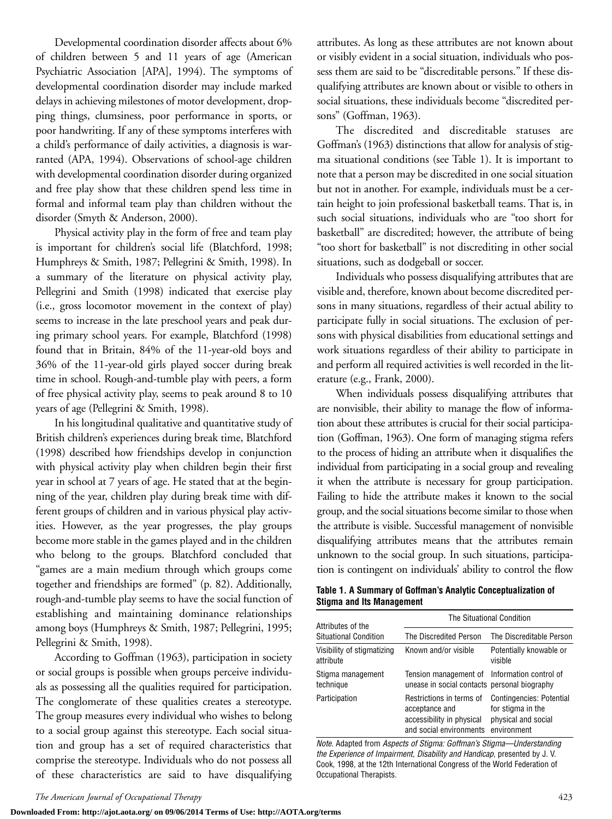Developmental coordination disorder affects about 6% of children between 5 and 11 years of age (American Psychiatric Association [APA], 1994). The symptoms of developmental coordination disorder may include marked delays in achieving milestones of motor development, dropping things, clumsiness, poor performance in sports, or poor handwriting. If any of these symptoms interferes with a child's performance of daily activities, a diagnosis is warranted (APA, 1994). Observations of school-age children with developmental coordination disorder during organized and free play show that these children spend less time in formal and informal team play than children without the disorder (Smyth & Anderson, 2000).

Physical activity play in the form of free and team play is important for children's social life (Blatchford, 1998; Humphreys & Smith, 1987; Pellegrini & Smith, 1998). In a summary of the literature on physical activity play, Pellegrini and Smith (1998) indicated that exercise play (i.e., gross locomotor movement in the context of play) seems to increase in the late preschool years and peak during primary school years. For example, Blatchford (1998) found that in Britain, 84% of the 11-year-old boys and 36% of the 11-year-old girls played soccer during break time in school. Rough-and-tumble play with peers, a form of free physical activity play, seems to peak around 8 to 10 years of age (Pellegrini & Smith, 1998).

In his longitudinal qualitative and quantitative study of British children's experiences during break time, Blatchford (1998) described how friendships develop in conjunction with physical activity play when children begin their first year in school at 7 years of age. He stated that at the beginning of the year, children play during break time with different groups of children and in various physical play activities. However, as the year progresses, the play groups become more stable in the games played and in the children who belong to the groups. Blatchford concluded that "games are a main medium through which groups come together and friendships are formed" (p. 82). Additionally, rough-and-tumble play seems to have the social function of establishing and maintaining dominance relationships among boys (Humphreys & Smith, 1987; Pellegrini, 1995; Pellegrini & Smith, 1998).

According to Goffman (1963), participation in society or social groups is possible when groups perceive individuals as possessing all the qualities required for participation. The conglomerate of these qualities creates a stereotype. The group measures every individual who wishes to belong to a social group against this stereotype. Each social situation and group has a set of required characteristics that comprise the stereotype. Individuals who do not possess all of these characteristics are said to have disqualifying attributes. As long as these attributes are not known about or visibly evident in a social situation, individuals who possess them are said to be "discreditable persons." If these disqualifying attributes are known about or visible to others in social situations, these individuals become "discredited persons" (Goffman, 1963).

The discredited and discreditable statuses are Goffman's (1963) distinctions that allow for analysis of stigma situational conditions (see Table 1). It is important to note that a person may be discredited in one social situation but not in another. For example, individuals must be a certain height to join professional basketball teams. That is, in such social situations, individuals who are "too short for basketball" are discredited; however, the attribute of being "too short for basketball" is not discrediting in other social situations, such as dodgeball or soccer.

Individuals who possess disqualifying attributes that are visible and, therefore, known about become discredited persons in many situations, regardless of their actual ability to participate fully in social situations. The exclusion of persons with physical disabilities from educational settings and work situations regardless of their ability to participate in and perform all required activities is well recorded in the literature (e.g., Frank, 2000).

When individuals possess disqualifying attributes that are nonvisible, their ability to manage the flow of information about these attributes is crucial for their social participation (Goffman, 1963). One form of managing stigma refers to the process of hiding an attribute when it disqualifies the individual from participating in a social group and revealing it when the attribute is necessary for group participation. Failing to hide the attribute makes it known to the social group, and the social situations become similar to those when the attribute is visible. Successful management of nonvisible disqualifying attributes means that the attributes remain unknown to the social group. In such situations, participation is contingent on individuals' ability to control the flow

**Table 1. A Summary of Goffman's Analytic Conceptualization of Stigma and Its Management** 

| Attributes of the<br><b>Situational Condition</b> | The Situational Condition                                                                          |                                                                                            |
|---------------------------------------------------|----------------------------------------------------------------------------------------------------|--------------------------------------------------------------------------------------------|
|                                                   | The Discredited Person                                                                             | The Discreditable Person                                                                   |
| Visibility of stigmatizing<br>attribute           | Known and/or visible                                                                               | Potentially knowable or<br>visible                                                         |
| Stigma management<br>technique                    | Tension management of Information control of<br>unease in social contacts personal biography       |                                                                                            |
| Participation                                     | Restrictions in terms of<br>acceptance and<br>accessibility in physical<br>and social environments | <b>Contingencies: Potential</b><br>for stigma in the<br>physical and social<br>environment |

*Note*. Adapted from *Aspects of Stigma: Goffman's Stigma—Understanding the Experience of Impairment, Disability and Handicap*, presented by J. V. Cook, 1998, at the 12th International Congress of the World Federation of Occupational Therapists.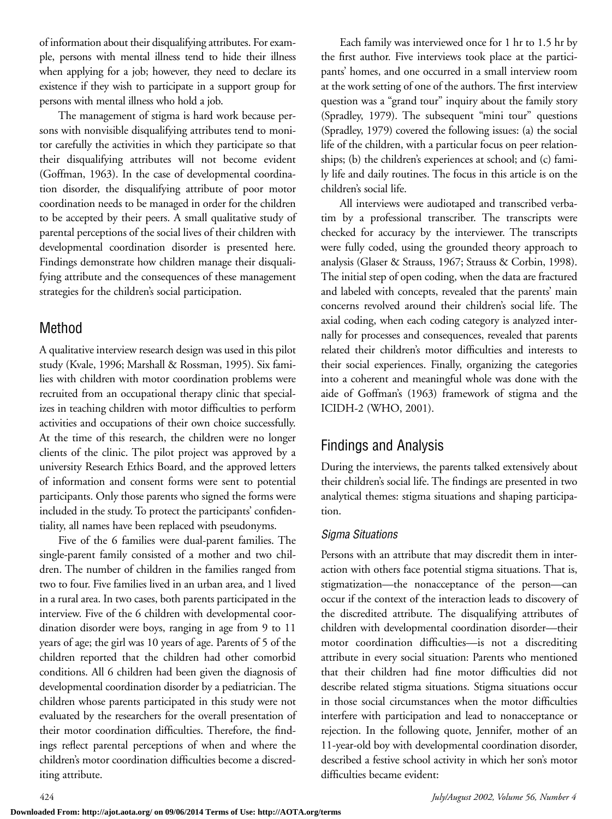of information about their disqualifying attributes. For example, persons with mental illness tend to hide their illness when applying for a job; however, they need to declare its existence if they wish to participate in a support group for persons with mental illness who hold a job.

The management of stigma is hard work because persons with nonvisible disqualifying attributes tend to monitor carefully the activities in which they participate so that their disqualifying attributes will not become evident (Goffman, 1963). In the case of developmental coordination disorder, the disqualifying attribute of poor motor coordination needs to be managed in order for the children to be accepted by their peers. A small qualitative study of parental perceptions of the social lives of their children with developmental coordination disorder is presented here. Findings demonstrate how children manage their disqualifying attribute and the consequences of these management strategies for the children's social participation.

#### Method

A qualitative interview research design was used in this pilot study (Kvale, 1996; Marshall & Rossman, 1995). Six families with children with motor coordination problems were recruited from an occupational therapy clinic that specializes in teaching children with motor difficulties to perform activities and occupations of their own choice successfully. At the time of this research, the children were no longer clients of the clinic. The pilot project was approved by a university Research Ethics Board, and the approved letters of information and consent forms were sent to potential participants. Only those parents who signed the forms were included in the study. To protect the participants' confidentiality, all names have been replaced with pseudonyms.

Five of the 6 families were dual-parent families. The single-parent family consisted of a mother and two children. The number of children in the families ranged from two to four. Five families lived in an urban area, and 1 lived in a rural area. In two cases, both parents participated in the interview. Five of the 6 children with developmental coordination disorder were boys, ranging in age from 9 to 11 years of age; the girl was 10 years of age. Parents of 5 of the children reported that the children had other comorbid conditions. All 6 children had been given the diagnosis of developmental coordination disorder by a pediatrician. The children whose parents participated in this study were not evaluated by the researchers for the overall presentation of their motor coordination difficulties. Therefore, the findings reflect parental perceptions of when and where the children's motor coordination difficulties become a discrediting attribute.

Each family was interviewed once for 1 hr to 1.5 hr by the first author. Five interviews took place at the participants' homes, and one occurred in a small interview room at the work setting of one of the authors. The first interview question was a "grand tour" inquiry about the family story (Spradley, 1979). The subsequent "mini tour" questions (Spradley, 1979) covered the following issues: (a) the social life of the children, with a particular focus on peer relationships; (b) the children's experiences at school; and (c) family life and daily routines. The focus in this article is on the children's social life.

All interviews were audiotaped and transcribed verbatim by a professional transcriber. The transcripts were checked for accuracy by the interviewer. The transcripts were fully coded, using the grounded theory approach to analysis (Glaser & Strauss, 1967; Strauss & Corbin, 1998). The initial step of open coding, when the data are fractured and labeled with concepts, revealed that the parents' main concerns revolved around their children's social life. The axial coding, when each coding category is analyzed internally for processes and consequences, revealed that parents related their children's motor difficulties and interests to their social experiences. Finally, organizing the categories into a coherent and meaningful whole was done with the aide of Goffman's (1963) framework of stigma and the ICIDH-2 (WHO, 2001).

## Findings and Analysis

During the interviews, the parents talked extensively about their children's social life. The findings are presented in two analytical themes: stigma situations and shaping participation.

#### *Sigma Situations*

Persons with an attribute that may discredit them in interaction with others face potential stigma situations. That is, stigmatization—the nonacceptance of the person—can occur if the context of the interaction leads to discovery of the discredited attribute. The disqualifying attributes of children with developmental coordination disorder—their motor coordination difficulties—is not a discrediting attribute in every social situation: Parents who mentioned that their children had fine motor difficulties did not describe related stigma situations. Stigma situations occur in those social circumstances when the motor difficulties interfere with participation and lead to nonacceptance or rejection. In the following quote, Jennifer, mother of an 11-year-old boy with developmental coordination disorder, described a festive school activity in which her son's motor difficulties became evident: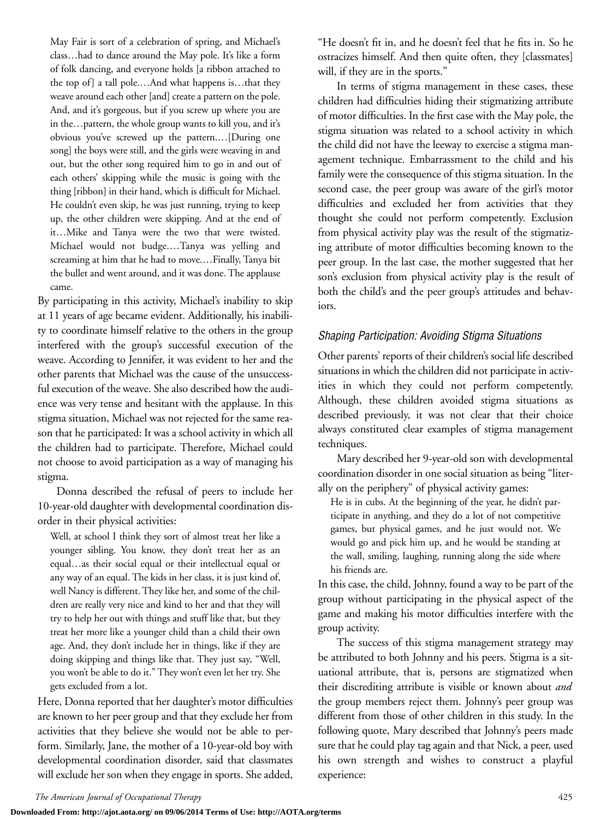May Fair is sort of a celebration of spring, and Michael's class…had to dance around the May pole. It's like a form of folk dancing, and everyone holds [a ribbon attached to the top of] a tall pole.…And what happens is…that they weave around each other [and] create a pattern on the pole. And, and it's gorgeous, but if you screw up where you are in the…pattern, the whole group wants to kill you, and it's obvious you've screwed up the pattern.…[During one song] the boys were still, and the girls were weaving in and out, but the other song required him to go in and out of each others' skipping while the music is going with the thing [ribbon] in their hand, which is difficult for Michael. He couldn't even skip, he was just running, trying to keep up, the other children were skipping. And at the end of it…Mike and Tanya were the two that were twisted. Michael would not budge.…Tanya was yelling and screaming at him that he had to move.…Finally, Tanya bit the bullet and went around, and it was done. The applause came.

By participating in this activity, Michael's inability to skip at 11 years of age became evident. Additionally, his inability to coordinate himself relative to the others in the group interfered with the group's successful execution of the weave. According to Jennifer, it was evident to her and the other parents that Michael was the cause of the unsuccessful execution of the weave. She also described how the audience was very tense and hesitant with the applause. In this stigma situation, Michael was not rejected for the same reason that he participated: It was a school activity in which all the children had to participate. Therefore, Michael could not choose to avoid participation as a way of managing his stigma.

Donna described the refusal of peers to include her 10-year-old daughter with developmental coordination disorder in their physical activities:

Well, at school I think they sort of almost treat her like a younger sibling. You know, they don't treat her as an equal…as their social equal or their intellectual equal or any way of an equal. The kids in her class, it is just kind of, well Nancy is different. They like her, and some of the children are really very nice and kind to her and that they will try to help her out with things and stuff like that, but they treat her more like a younger child than a child their own age. And, they don't include her in things, like if they are doing skipping and things like that. They just say, "Well, you won't be able to do it." They won't even let her try. She gets excluded from a lot.

Here, Donna reported that her daughter's motor difficulties are known to her peer group and that they exclude her from activities that they believe she would not be able to perform. Similarly, Jane, the mother of a 10-year-old boy with developmental coordination disorder, said that classmates will exclude her son when they engage in sports. She added, "He doesn't fit in, and he doesn't feel that he fits in. So he ostracizes himself. And then quite often, they [classmates] will, if they are in the sports."

In terms of stigma management in these cases, these children had difficulties hiding their stigmatizing attribute of motor difficulties. In the first case with the May pole, the stigma situation was related to a school activity in which the child did not have the leeway to exercise a stigma management technique. Embarrassment to the child and his family were the consequence of this stigma situation. In the second case, the peer group was aware of the girl's motor difficulties and excluded her from activities that they thought she could not perform competently. Exclusion from physical activity play was the result of the stigmatizing attribute of motor difficulties becoming known to the peer group. In the last case, the mother suggested that her son's exclusion from physical activity play is the result of both the child's and the peer group's attitudes and behaviors.

#### *Shaping Participation: Avoiding Stigma Situations*

Other parents' reports of their children's social life described situations in which the children did not participate in activities in which they could not perform competently. Although, these children avoided stigma situations as described previously, it was not clear that their choice always constituted clear examples of stigma management techniques.

Mary described her 9-year-old son with developmental coordination disorder in one social situation as being "literally on the periphery" of physical activity games:

He is in cubs. At the beginning of the year, he didn't participate in anything, and they do a lot of not competitive games, but physical games, and he just would not. We would go and pick him up, and he would be standing at the wall, smiling, laughing, running along the side where his friends are.

In this case, the child, Johnny, found a way to be part of the group without participating in the physical aspect of the game and making his motor difficulties interfere with the group activity.

The success of this stigma management strategy may be attributed to both Johnny and his peers. Stigma is a situational attribute, that is, persons are stigmatized when their discrediting attribute is visible or known about *and* the group members reject them. Johnny's peer group was different from those of other children in this study. In the following quote, Mary described that Johnny's peers made sure that he could play tag again and that Nick, a peer, used his own strength and wishes to construct a playful experience: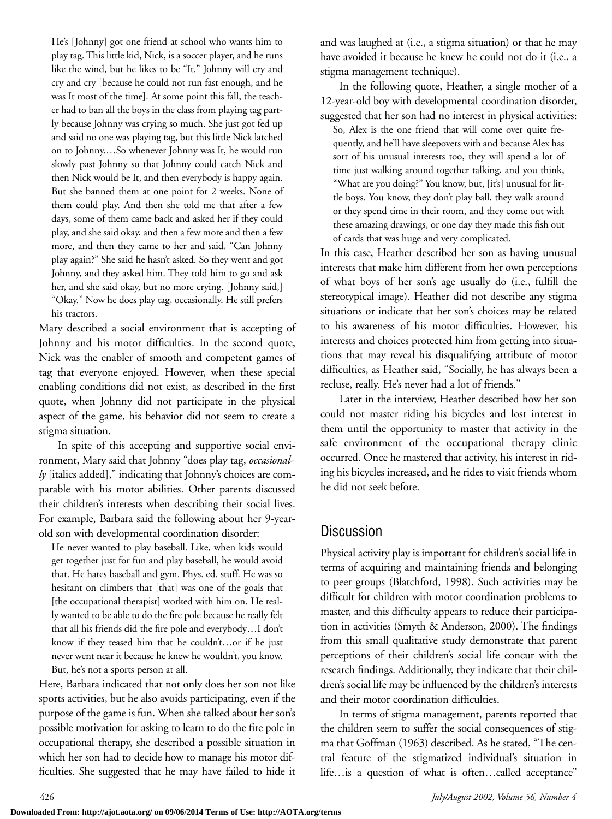He's [Johnny] got one friend at school who wants him to play tag. This little kid, Nick, is a soccer player, and he runs like the wind, but he likes to be "It." Johnny will cry and cry and cry [because he could not run fast enough, and he was It most of the time]. At some point this fall, the teacher had to ban all the boys in the class from playing tag partly because Johnny was crying so much. She just got fed up and said no one was playing tag, but this little Nick latched on to Johnny.…So whenever Johnny was It, he would run slowly past Johnny so that Johnny could catch Nick and then Nick would be It, and then everybody is happy again. But she banned them at one point for 2 weeks. None of them could play. And then she told me that after a few days, some of them came back and asked her if they could play, and she said okay, and then a few more and then a few more, and then they came to her and said, "Can Johnny play again?" She said he hasn't asked. So they went and got Johnny, and they asked him. They told him to go and ask her, and she said okay, but no more crying. [Johnny said,] "Okay." Now he does play tag, occasionally. He still prefers his tractors.

Mary described a social environment that is accepting of Johnny and his motor difficulties. In the second quote, Nick was the enabler of smooth and competent games of tag that everyone enjoyed. However, when these special enabling conditions did not exist, as described in the first quote, when Johnny did not participate in the physical aspect of the game, his behavior did not seem to create a stigma situation.

In spite of this accepting and supportive social environment, Mary said that Johnny "does play tag, *occasionally* [italics added]," indicating that Johnny's choices are comparable with his motor abilities. Other parents discussed their children's interests when describing their social lives. For example, Barbara said the following about her 9-yearold son with developmental coordination disorder:

He never wanted to play baseball. Like, when kids would get together just for fun and play baseball, he would avoid that. He hates baseball and gym. Phys. ed. stuff. He was so hesitant on climbers that [that] was one of the goals that [the occupational therapist] worked with him on. He really wanted to be able to do the fire pole because he really felt that all his friends did the fire pole and everybody…I don't know if they teased him that he couldn't…or if he just never went near it because he knew he wouldn't, you know. But, he's not a sports person at all.

Here, Barbara indicated that not only does her son not like sports activities, but he also avoids participating, even if the purpose of the game is fun. When she talked about her son's possible motivation for asking to learn to do the fire pole in occupational therapy, she described a possible situation in which her son had to decide how to manage his motor difficulties. She suggested that he may have failed to hide it and was laughed at (i.e., a stigma situation) or that he may have avoided it because he knew he could not do it (i.e., a stigma management technique).

In the following quote, Heather, a single mother of a 12-year-old boy with developmental coordination disorder, suggested that her son had no interest in physical activities:

So, Alex is the one friend that will come over quite frequently, and he'll have sleepovers with and because Alex has sort of his unusual interests too, they will spend a lot of time just walking around together talking, and you think, "What are you doing?" You know, but, [it's] unusual for little boys. You know, they don't play ball, they walk around or they spend time in their room, and they come out with these amazing drawings, or one day they made this fish out of cards that was huge and very complicated.

In this case, Heather described her son as having unusual interests that make him different from her own perceptions of what boys of her son's age usually do (i.e., fulfill the stereotypical image). Heather did not describe any stigma situations or indicate that her son's choices may be related to his awareness of his motor difficulties. However, his interests and choices protected him from getting into situations that may reveal his disqualifying attribute of motor difficulties, as Heather said, "Socially, he has always been a recluse, really. He's never had a lot of friends."

Later in the interview, Heather described how her son could not master riding his bicycles and lost interest in them until the opportunity to master that activity in the safe environment of the occupational therapy clinic occurred. Once he mastered that activity, his interest in riding his bicycles increased, and he rides to visit friends whom he did not seek before.

#### **Discussion**

Physical activity play is important for children's social life in terms of acquiring and maintaining friends and belonging to peer groups (Blatchford, 1998). Such activities may be difficult for children with motor coordination problems to master, and this difficulty appears to reduce their participation in activities (Smyth & Anderson, 2000). The findings from this small qualitative study demonstrate that parent perceptions of their children's social life concur with the research findings. Additionally, they indicate that their children's social life may be influenced by the children's interests and their motor coordination difficulties.

In terms of stigma management, parents reported that the children seem to suffer the social consequences of stigma that Goffman (1963) described. As he stated, "The central feature of the stigmatized individual's situation in life…is a question of what is often…called acceptance"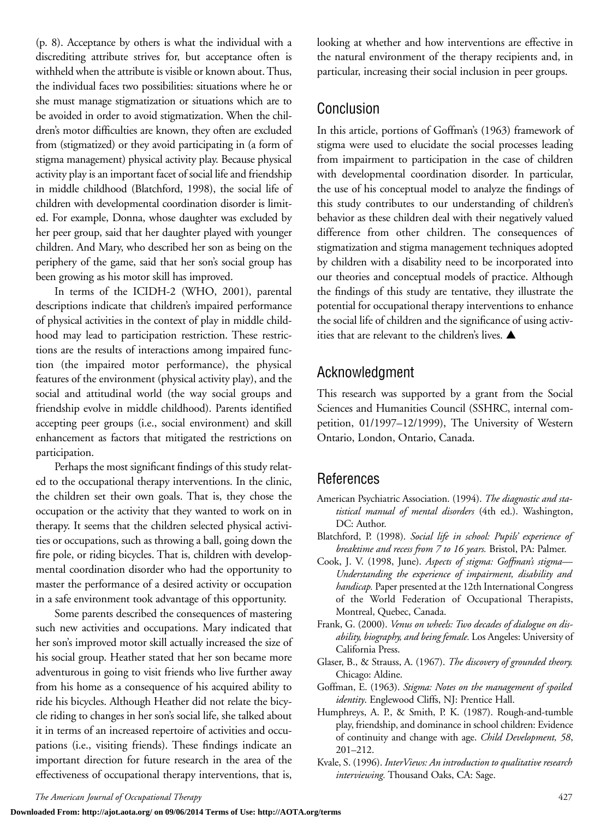(p. 8). Acceptance by others is what the individual with a discrediting attribute strives for, but acceptance often is withheld when the attribute is visible or known about. Thus, the individual faces two possibilities: situations where he or she must manage stigmatization or situations which are to be avoided in order to avoid stigmatization. When the children's motor difficulties are known, they often are excluded from (stigmatized) or they avoid participating in (a form of stigma management) physical activity play. Because physical activity play is an important facet of social life and friendship in middle childhood (Blatchford, 1998), the social life of children with developmental coordination disorder is limited. For example, Donna, whose daughter was excluded by her peer group, said that her daughter played with younger children. And Mary, who described her son as being on the periphery of the game, said that her son's social group has been growing as his motor skill has improved.

In terms of the ICIDH-2 (WHO, 2001), parental descriptions indicate that children's impaired performance of physical activities in the context of play in middle childhood may lead to participation restriction. These restrictions are the results of interactions among impaired function (the impaired motor performance), the physical features of the environment (physical activity play), and the social and attitudinal world (the way social groups and friendship evolve in middle childhood). Parents identified accepting peer groups (i.e., social environment) and skill enhancement as factors that mitigated the restrictions on participation.

Perhaps the most significant findings of this study related to the occupational therapy interventions. In the clinic, the children set their own goals. That is, they chose the occupation or the activity that they wanted to work on in therapy. It seems that the children selected physical activities or occupations, such as throwing a ball, going down the fire pole, or riding bicycles. That is, children with developmental coordination disorder who had the opportunity to master the performance of a desired activity or occupation in a safe environment took advantage of this opportunity.

Some parents described the consequences of mastering such new activities and occupations. Mary indicated that her son's improved motor skill actually increased the size of his social group. Heather stated that her son became more adventurous in going to visit friends who live further away from his home as a consequence of his acquired ability to ride his bicycles. Although Heather did not relate the bicycle riding to changes in her son's social life, she talked about it in terms of an increased repertoire of activities and occupations (i.e., visiting friends). These findings indicate an important direction for future research in the area of the effectiveness of occupational therapy interventions, that is,

looking at whether and how interventions are effective in the natural environment of the therapy recipients and, in particular, increasing their social inclusion in peer groups.

#### Conclusion

In this article, portions of Goffman's (1963) framework of stigma were used to elucidate the social processes leading from impairment to participation in the case of children with developmental coordination disorder. In particular, the use of his conceptual model to analyze the findings of this study contributes to our understanding of children's behavior as these children deal with their negatively valued difference from other children. The consequences of stigmatization and stigma management techniques adopted by children with a disability need to be incorporated into our theories and conceptual models of practice. Although the findings of this study are tentative, they illustrate the potential for occupational therapy interventions to enhance the social life of children and the significance of using activities that are relevant to the children's lives. ▲

#### Acknowledgment

This research was supported by a grant from the Social Sciences and Humanities Council (SSHRC, internal competition, 01/1997–12/1999), The University of Western Ontario, London, Ontario, Canada.

#### References

- American Psychiatric Association. (1994). *The diagnostic and statistical manual of mental disorders* (4th ed.). Washington, DC: Author.
- Blatchford, P. (1998). *Social life in school: Pupils' experience of breaktime and recess from 7 to 16 years.* Bristol, PA: Palmer.
- Cook, J. V. (1998, June). *Aspects of stigma: Goffman's stigma— Understanding the experience of impairment, disability and handicap.* Paper presented at the 12th International Congress of the World Federation of Occupational Therapists, Montreal, Quebec, Canada.
- Frank, G. (2000). *Venus on wheels: Two decades of dialogue on disability, biography, and being female.* Los Angeles: University of California Press.
- Glaser, B., & Strauss, A. (1967). *The discovery of grounded theory.* Chicago: Aldine.
- Goffman, E. (1963). *Stigma: Notes on the management of spoiled identity*. Englewood Cliffs, NJ: Prentice Hall.
- Humphreys, A. P., & Smith, P. K. (1987). Rough-and-tumble play, friendship, and dominance in school children: Evidence of continuity and change with age. *Child Development, 58*, 201–212.
- Kvale, S. (1996). *InterViews: An introduction to qualitative research interviewing.* Thousand Oaks, CA: Sage.